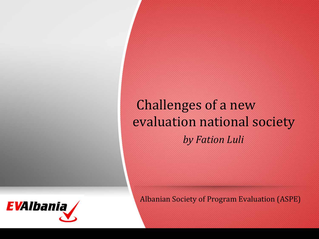

### Challenges of a new evaluation national society **by Fation Luli**

Albanian Society of Program Evaluation (ASPE)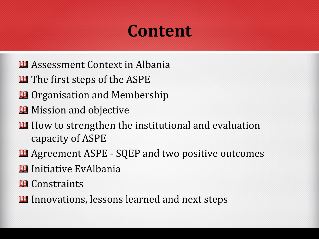# **Content&**))

- **B** Assessment Context in Albania
- **Et The first steps of the ASPE**
- **B** Organisation and Membership
- **Mission** and objective
- **H** How to strengthen the institutional and evaluation capacity of ASPE
- **B** Agreement ASPE SQEP and two positive outcomes
- **国** Initiative EvAlbania
- **Et** Constraints
- **Innovations, lessons learned and next steps**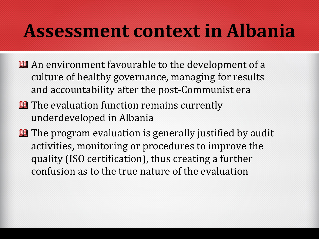# Assessment context in Albania

- **Ex** An environment favourable to the development of a culture of healthy governance, managing for results and accountability after the post-Communist era
- **Et** The evaluation function remains currently underdeveloped in Albania
- $\Box$  The program evaluation is generally justified by audit activities, monitoring or procedures to improve the quality (ISO certification), thus creating a further confusion as to the true nature of the evaluation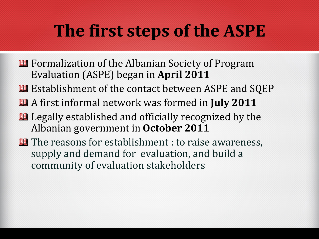## **The first steps of the ASPE**

- **B** Formalization of the Albanian Society of Program Evaluation (ASPE) began in **April 2011**
- **E** Establishment of the contact between ASPE and SQEP
- **EE** A first informal network was formed in **July 2011**
- $\blacksquare$  Legally established and officially recognized by the Albanian government in October 2011
- The reasons for establishment : to raise awareness, supply and demand for evaluation, and build a community of evaluation stakeholders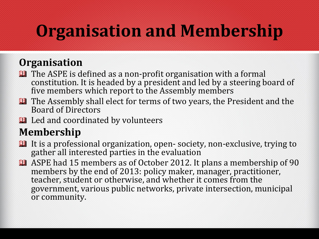# **Organisation and Membership**

#### **Organisation&**

- **The ASPE** is defined as a non-profit organisation with a formal constitution. It is headed by a president and led by a steering board of five members which report to the Assembly members
- **EE** The Assembly shall elect for terms of two years, the President and the Board of Directors
- Led and coordinated by volunteers

#### **Membership&**

- **B** It is a professional organization, open-society, non-exclusive, trying to gather all interested parties in the evaluation
- **B** ASPE had 15 members as of October 2012. It plans a membership of 90 members by the end of 2013: policy maker, manager, practitioner, teacher, student or otherwise, and whether it comes from the government, various public networks, private intersection, municipal or community.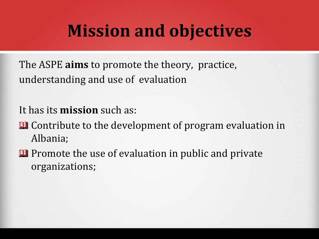## **Mission and objectives**

The ASPE **aims** to promote the theory, practice, understanding and use of evaluation

It has its **mission** such as:

- **E** Contribute to the development of program evaluation in Albania;)
- **B** Promote the use of evaluation in public and private organizations;)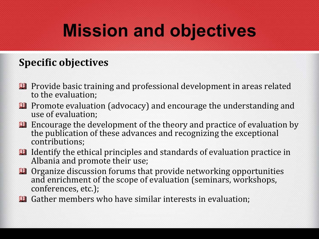# **Mission and objectives**

#### **Specific objectives**

- **Provide** basic training and professional development in areas related to the evaluation:
- **B** Promote evaluation (advocacy) and encourage the understanding and use of evaluation:
- **E** Encourage the development of the theory and practice of evaluation by the publication of these advances and recognizing the exceptional contributions;)
- $\Box$  Identify the ethical principles and standards of evaluation practice in Albania and promote their use;
- $\Box$  Organize discussion forums that provide networking opportunities and enrichment of the scope of evaluation (seminars, workshops, conferences, etc.);
- **B** Gather members who have similar interests in evaluation;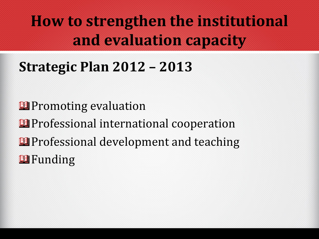**How to strengthen the institutional and evaluation capacity** 

### **Strategic Plan 2012 - 2013**

**B**Promoting evaluation **B**Professional international cooperation **B** Professional development and teaching **El** Funding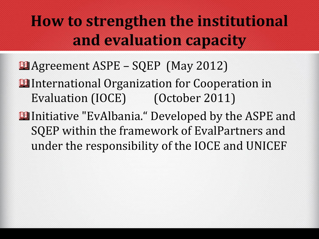### **How to strengthen the institutional** and evaluation capacity

- **El** Agreement ASPE SQEP (May 2012)
- **El** International Organization for Cooperation in Evaluation (IOCE) (October 2011)
- **El** Initiative "EvAlbania." Developed by the ASPE and SQEP within the framework of EvalPartners and under the responsibility of the IOCE and UNICEF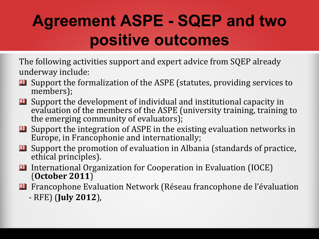## **Agreement ASPE - SQEP and two positive outcomes**

The following activities support and expert advice from SQEP already underway include:

- **B** Support the formalization of the ASPE (statutes, providing services to members);
- **B** Support the development of individual and institutional capacity in evaluation of the members of the ASPE (university training, training to the emerging community of evaluators);
- **B** Support the integration of ASPE in the existing evaluation networks in Europe, in Francophonie and internationally;
- **B** Support the promotion of evaluation in Albania (standards of practice, ethical principles).
- **I** International Organization for Cooperation in Evaluation (IOCE) (**October&2011**))
- **Et** Francophone Evaluation Network (Réseau francophone de l'évaluation
	- )))))E)RFE))(**July&2012**),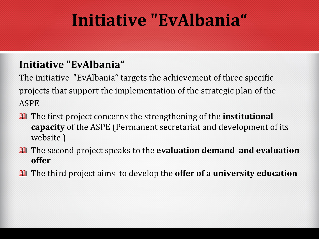## Initiative "EvAlbania"

#### Initiative "EvAlbania"

The initiative "EvAlbania" targets the achievement of three specific projects that support the implementation of the strategic plan of the ASPE

- **E** The first project concerns the strengthening of the **institutional capacity** of the ASPE (Permanent secretariat and development of its) website)
- **E** The second project speaks to the **evaluation demand and evaluation offer**
- **E** The third project aims to develop the **offer of a university education**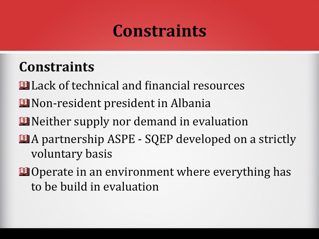## **Constraints**

#### **Constraints&**

**Lack** of technical and financial resources

- **EX** Non-resident president in Albania
- **EX** Neither supply nor demand in evaluation
- $\blacksquare$  A partnership ASPE SQEP developed on a strictly voluntary basis
- **E**Operate in an environment where everything has to be build in evaluation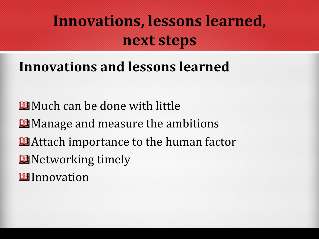## **Innovations, lessons learned, next&steps**

#### **Innovations and lessons learned**

**El** Much can be done with little **EX** Manage and measure the ambitions **EX** Attach importance to the human factor **E** Networking timely **B**Innovation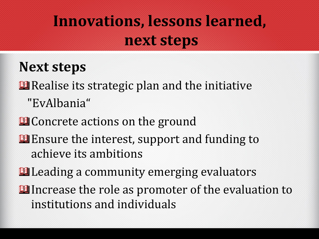## Innovations, lessons learned, **&next&steps**

#### **Next steps**

 $\blacksquare$  Realise its strategic plan and the initiative

)))"EvAlbania"))

**EE** Concrete actions on the ground

**Example 12** Ensure the interest, support and funding to achieve its ambitions

**Leading a community emerging evaluators** 

**Increase the role as promoter of the evaluation to** institutions and individuals